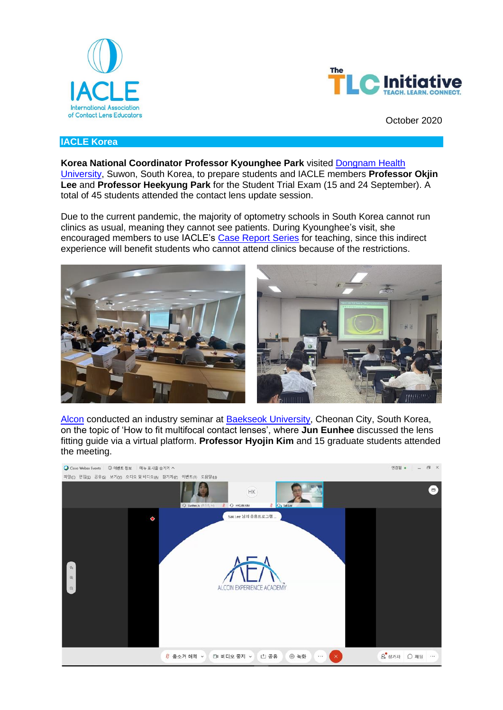



October 2020

## **IACLE Korea**

**Korea National Coordinator Professor Kyounghee Park** visited [Dongnam Health](http://www.dongnam.ac.kr/)  [University,](http://www.dongnam.ac.kr/) Suwon, South Korea, to prepare students and IACLE members **Professor Okjin Lee** and **Professor Heekyung Park** for the Student Trial Exam (15 and 24 September). A total of 45 students attended the contact lens update session.

Due to the current pandemic, the majority of optometry schools in South Korea cannot run clinics as usual, meaning they cannot see patients. During Kyounghee's visit, she encouraged members to use IACLE's [Case Report Series](https://iacle.org/resources/iacle-case-report-series/) for teaching, since this indirect experience will benefit students who cannot attend clinics because of the restrictions.



[Alcon](https://www.alcon.com/) conducted an industry seminar at **Baekseok University**, Cheonan City, South Korea, on the topic of 'How to fit multifocal contact lenses', where **Jun Eunhee** discussed the lens fitting guide via a virtual platform. **Professor Hyojin Kim** and 15 graduate students attended the meeting.